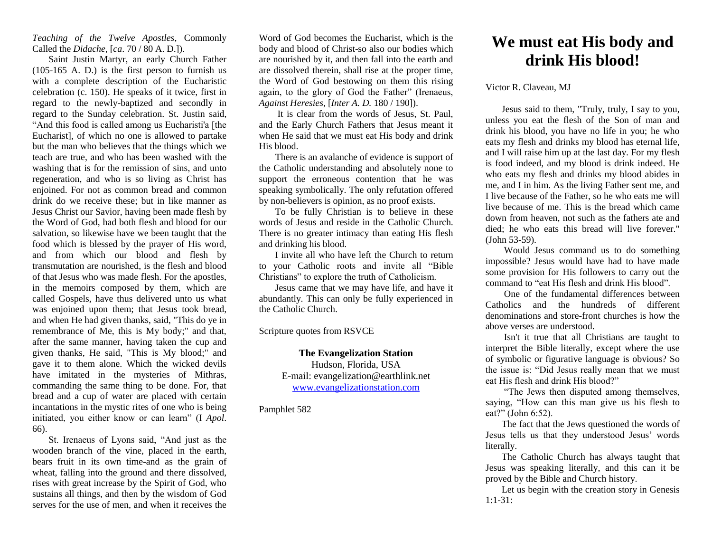*Teaching of the Twelve Apostles*, Commonly Called the *Didache,* [*ca*. 70 / 80 A. D.]).

Saint Justin Martyr, an early Church Father (105-165 A. D.) is the first person to furnish us with a complete description of the Eucharistic celebration (c. 150). He speaks of it twice, first in regard to the newly-baptized and secondly in regard to the Sunday celebration. St. Justin said, "And this food is called among us Eucharisti'a [the Eucharist], of which no one is allowed to partake but the man who believes that the things which we teach are true, and who has been washed with the washing that is for the remission of sins, and unto regeneration, and who is so living as Christ has enjoined. For not as common bread and common drink do we receive these; but in like manner as Jesus Christ our Savior, having been made flesh by the Word of God, had both flesh and blood for our salvation, so likewise have we been taught that the food which is blessed by the prayer of His word, and from which our blood and flesh by transmutation are nourished, is the flesh and blood of that Jesus who was made flesh. For the apostles, in the memoirs composed by them, which are called Gospels, have thus delivered unto us what was enjoined upon them; that Jesus took bread, and when He had given thanks, said, "This do ye in remembrance of Me, this is My body;" and that, after the same manner, having taken the cup and given thanks, He said, "This is My blood;" and gave it to them alone. Which the wicked devils have imitated in the mysteries of Mithras, commanding the same thing to be done. For, that bread and a cup of water are placed with certain incantations in the mystic rites of one who is being initiated, you either know or can learn" (I *Apol*. 66).

St. Irenaeus of Lyons said, "And just as the wooden branch of the vine, placed in the earth, bears fruit in its own time-and as the grain of wheat, falling into the ground and there dissolved, rises with great increase by the Spirit of God, who sustains all things, and then by the wisdom of God serves for the use of men, and when it receives the

Word of God becomes the Eucharist, which is the body and blood of Christ-so also our bodies which are nourished by it, and then fall into the earth and are dissolved therein, shall rise at the proper time, the Word of God bestowing on them this rising again, to the glory of God the Father" (Irenaeus, *Against Heresies,* [*Inter A. D.* 180 / 190]).

It is clear from the words of Jesus, St. Paul, and the Early Church Fathers that Jesus meant it when He said that we must eat His body and drink His blood.

There is an avalanche of evidence is support of the Catholic understanding and absolutely none to support the erroneous contention that he was speaking symbolically. The only refutation offered by non-believers is opinion, as no proof exists.

To be fully Christian is to believe in these words of Jesus and reside in the Catholic Church. There is no greater intimacy than eating His flesh and drinking his blood.

I invite all who have left the Church to return to your Catholic roots and invite all "Bible Christians" to explore the truth of Catholicism.

Jesus came that we may have life, and have it abundantly. This can only be fully experienced in the Catholic Church.

Scripture quotes from RSVCE

## **The Evangelization Station** Hudson, Florida, USA E-mail: evangelization@earthlink.net

[www.evangelizationstation.com](http://www.pjpiisoe.org/)

Pamphlet 582

## **We must eat His body and drink His blood!**

Victor R. Claveau, MJ

Jesus said to them, "Truly, truly, I say to you, unless you eat the flesh of the Son of man and drink his blood, you have no life in you; he who eats my flesh and drinks my blood has eternal life, and I will raise him up at the last day. For my flesh is food indeed, and my blood is drink indeed. He who eats my flesh and drinks my blood abides in me, and I in him. As the living Father sent me, and I live because of the Father, so he who eats me will live because of me. This is the bread which came down from heaven, not such as the fathers ate and died; he who eats this bread will live forever." (John 53-59).

Would Jesus command us to do something impossible? Jesus would have had to have made some provision for His followers to carry out the command to "eat His flesh and drink His blood".

One of the fundamental differences between Catholics and the hundreds of different denominations and store-front churches is how the above verses are understood.

Isn't it true that all Christians are taught to interpret the Bible literally, except where the use of symbolic or figurative language is obvious? So the issue is: "Did Jesus really mean that we must eat His flesh and drink His blood?"

"The Jews then disputed among themselves, saying, "How can this man give us his flesh to eat?" (John 6:52).

The fact that the Jews questioned the words of Jesus tells us that they understood Jesus' words literally.

The Catholic Church has always taught that Jesus was speaking literally, and this can it be proved by the Bible and Church history.

Let us begin with the creation story in Genesis 1:1-31: